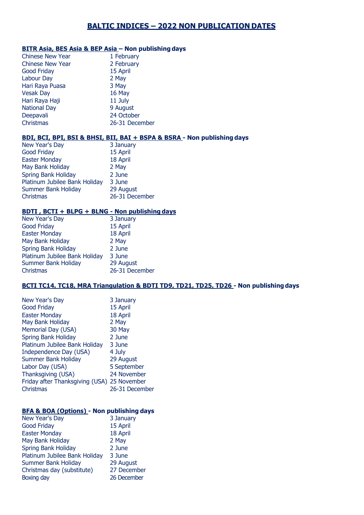# **BALTIC INDICES – 2022 NON PUBLICATION DATES**

#### **BITR Asia, BES Asia & BEP Asia – Non publishing days**

| <b>Chinese New Year</b> | 1 February     |
|-------------------------|----------------|
| Chinese New Year        | 2 February     |
| <b>Good Friday</b>      | 15 April       |
| Labour Day              | 2 May          |
| Hari Raya Puasa         | 3 May          |
| <b>Vesak Day</b>        | 16 May         |
| Hari Raya Haji          | 11 July        |
| <b>National Day</b>     | 9 August       |
| Deepavali               | 24 October     |
| Christmas               | 26-31 December |

### **BDI, BCI, BPI, BSI & BHSI, BII, BAI + BSPA & BSRA - Non publishing days**

| New Year's Day                | 3 January      |
|-------------------------------|----------------|
| <b>Good Friday</b>            | 15 April       |
| <b>Easter Monday</b>          | 18 April       |
| May Bank Holiday              | 2 May          |
| <b>Spring Bank Holiday</b>    | 2 June         |
| Platinum Jubilee Bank Holiday | 3 June         |
| <b>Summer Bank Holiday</b>    | 29 August      |
| <b>Christmas</b>              | 26-31 December |
|                               |                |

### **BDTI , BCTI + BLPG + BLNG - Non publishing days**

| 3 January      |
|----------------|
| 15 April       |
| 18 April       |
| 2 May          |
| 2 June         |
| 3 June         |
| 29 August      |
| 26-31 December |
|                |

## **BCTI TC14, TC18, MRA Triangulation & BDTI TD9, TD21, TD25, TD26 - Non publishingdays**

| New Year's Day                              | 3 January      |
|---------------------------------------------|----------------|
| <b>Good Friday</b>                          | 15 April       |
| <b>Easter Monday</b>                        | 18 April       |
| May Bank Holiday                            | 2 May          |
| Memorial Day (USA)                          | 30 May         |
| <b>Spring Bank Holiday</b>                  | 2 June         |
| Platinum Jubilee Bank Holiday               | 3 June         |
| Independence Day (USA)                      | 4 July         |
| <b>Summer Bank Holiday</b>                  | 29 August      |
| Labor Day (USA)                             | 5 September    |
| Thanksgiving (USA)                          | 24 November    |
| Friday after Thanksgiving (USA) 25 November |                |
| Christmas                                   | 26-31 December |
|                                             |                |

#### **BFA & BOA (Options) - Non publishing days**

| New Year's Day                | 3 January   |
|-------------------------------|-------------|
| <b>Good Friday</b>            | 15 April    |
| <b>Easter Monday</b>          | 18 April    |
| May Bank Holiday              | 2 May       |
| <b>Spring Bank Holiday</b>    | 2 June      |
| Platinum Jubilee Bank Holiday | 3 June      |
| <b>Summer Bank Holiday</b>    | 29 August   |
| Christmas day (substitute)    | 27 December |
| Boxing day                    | 26 December |
|                               |             |